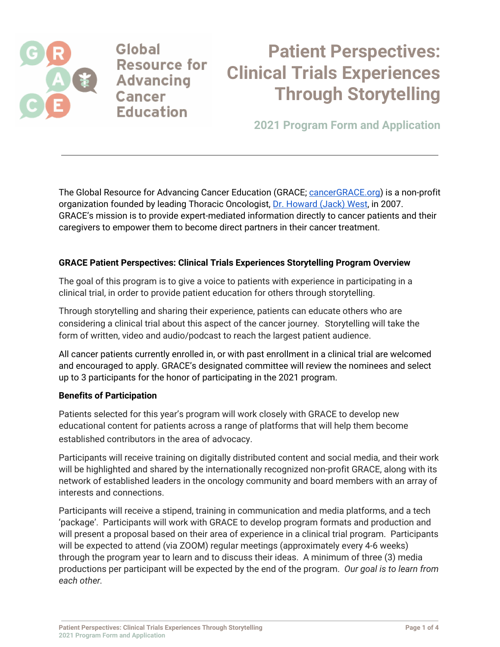

Global **Resource for Advancing Cancer Education** 

# **Patient Perspectives: Clinical Trials Experiences Through Storytelling**

**2021 Program Form and Application**

The Global Resource for Advancing Cancer Education (GRACE; [cancerGRACE.org\)](http://www.cancergrace.org/) is a non-profit organization founded by leading Thoracic Oncologist, Dr. [Howard](https://cancergrace.org/staff/howard-jack-west-md-founder-president-and-ceo) (Jack) West, in 2007. GRACE's mission is to provide expert-mediated information directly to cancer patients and their caregivers to empower them to become direct partners in their cancer treatment.

### **GRACE Patient Perspectives: Clinical Trials Experiences Storytelling Program Overview**

The goal of this program is to give a voice to patients with experience in participating in a clinical trial, in order to provide patient education for others through storytelling.

Through storytelling and sharing their experience, patients can educate others who are considering a clinical trial about this aspect of the cancer journey. Storytelling will take the form of written, video and audio/podcast to reach the largest patient audience.

All cancer patients currently enrolled in, or with past enrollment in a clinical trial are welcomed and encouraged to apply. GRACE's designated committee will review the nominees and select up to 3 participants for the honor of participating in the 2021 program.

#### **Benefits of Participation**

Patients selected for this year's program will work closely with GRACE to develop new educational content for patients across a range of platforms that will help them become established contributors in the area of advocacy.

Participants will receive training on digitally distributed content and social media, and their work will be highlighted and shared by the internationally recognized non-profit GRACE, along with its network of established leaders in the oncology community and board members with an array of interests and connections.

Participants will receive a stipend, training in communication and media platforms, and a tech 'package'. Participants will work with GRACE to develop program formats and production and will present a proposal based on their area of experience in a clinical trial program. Participants will be expected to attend (via ZOOM) regular meetings (approximately every 4-6 weeks) through the program year to learn and to discuss their ideas. A minimum of three (3) media productions per participant will be expected by the end of the program. *Our goal is to learn from each other.*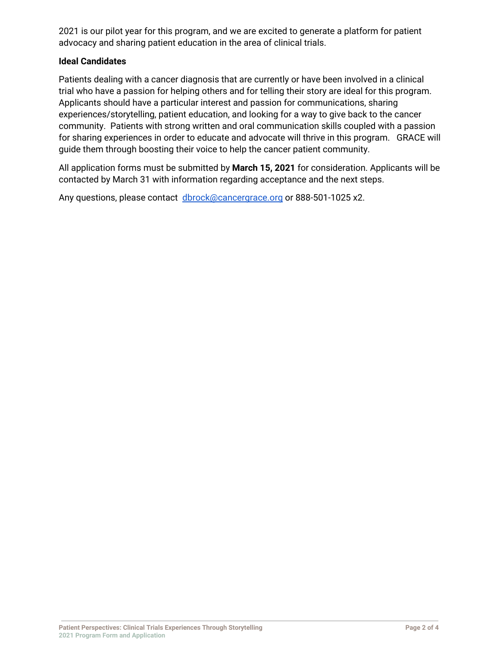2021 is our pilot year for this program, and we are excited to generate a platform for patient advocacy and sharing patient education in the area of clinical trials.

#### **Ideal Candidates**

Patients dealing with a cancer diagnosis that are currently or have been involved in a clinical trial who have a passion for helping others and for telling their story are ideal for this program. Applicants should have a particular interest and passion for communications, sharing experiences/storytelling, patient education, and looking for a way to give back to the cancer community. Patients with strong written and oral communication skills coupled with a passion for sharing experiences in order to educate and advocate will thrive in this program. GRACE will guide them through boosting their voice to help the cancer patient community.

All application forms must be submitted by **March 15, 2021** for consideration. Applicants will be contacted by March 31 with information regarding acceptance and the next steps.

Any questions, please contact [dbrock@cancergrace.org](mailto:dbrock@cancerGRACE.org) or 888-501-1025 x2.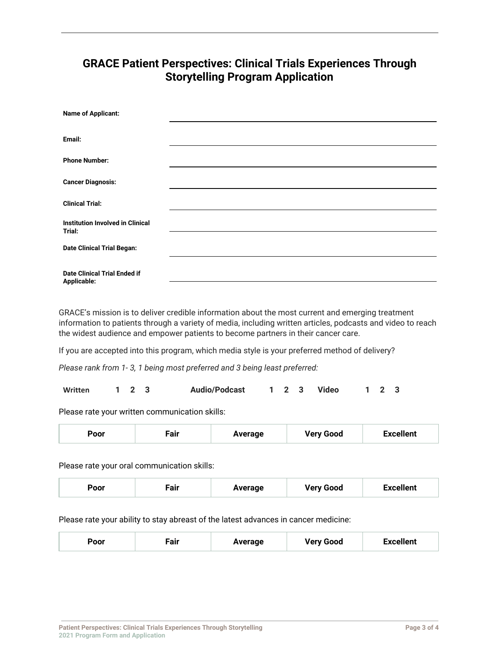## **GRACE Patient Perspectives: Clinical Trials Experiences Through Storytelling Program Application**

| <b>Name of Applicant:</b>                          |  |
|----------------------------------------------------|--|
| Email:                                             |  |
| <b>Phone Number:</b>                               |  |
| <b>Cancer Diagnosis:</b>                           |  |
| <b>Clinical Trial:</b>                             |  |
| Institution Involved in Clinical<br>Trial:         |  |
| <b>Date Clinical Trial Began:</b>                  |  |
| <b>Date Clinical Trial Ended if</b><br>Applicable: |  |

GRACE's mission is to deliver credible information about the most current and emerging treatment information to patients through a variety of media, including written articles, podcasts and video to reach the widest audience and empower patients to become partners in their cancer care.

If you are accepted into this program, which media style is your preferred method of delivery?

*Please rank from 1- 3, 1 being most preferred and 3 being least preferred:*

| Written |  | $1\quad 2\quad 3$ |  | <b>Audio/Podcast</b> |  |  |  | <sup>1</sup> 2 3 Video |  | $1 \quad 2 \quad 3$ |  |
|---------|--|-------------------|--|----------------------|--|--|--|------------------------|--|---------------------|--|
|---------|--|-------------------|--|----------------------|--|--|--|------------------------|--|---------------------|--|

Please rate your written communication skills:

| <b>Excellent</b><br><b>Very Good</b><br><b>Poor</b><br>Average<br>rair |  |
|------------------------------------------------------------------------|--|
|------------------------------------------------------------------------|--|

Please rate your oral communication skills:

| -air<br>Poor | Average | <b>Very Good</b> | <b>Excellent</b> |
|--------------|---------|------------------|------------------|
|--------------|---------|------------------|------------------|

Please rate your ability to stay abreast of the latest advances in cancer medicine:

| Poor | Fair | Average | <b>Very Good</b> | <b>Excellent</b> |
|------|------|---------|------------------|------------------|
|------|------|---------|------------------|------------------|